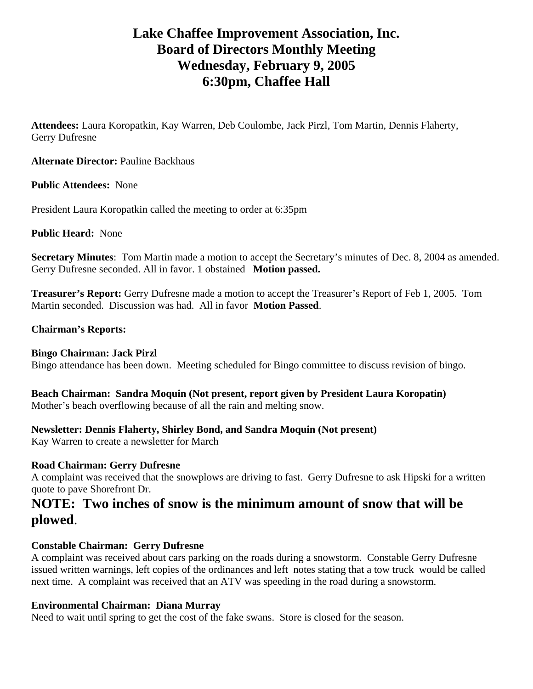# **Lake Chaffee Improvement Association, Inc. Board of Directors Monthly Meeting Wednesday, February 9, 2005 6:30pm, Chaffee Hall**

**Attendees:** Laura Koropatkin, Kay Warren, Deb Coulombe, Jack Pirzl, Tom Martin, Dennis Flaherty, Gerry Dufresne

**Alternate Director:** Pauline Backhaus

**Public Attendees:** None

President Laura Koropatkin called the meeting to order at 6:35pm

**Public Heard:** None

**Secretary Minutes**: Tom Martin made a motion to accept the Secretary's minutes of Dec. 8, 2004 as amended. Gerry Dufresne seconded. All in favor. 1 obstained **Motion passed.** 

**Treasurer's Report:** Gerry Dufresne made a motion to accept the Treasurer's Report of Feb 1, 2005. Tom Martin seconded. Discussion was had. All in favor **Motion Passed**.

#### **Chairman's Reports:**

#### **Bingo Chairman: Jack Pirzl**

Bingo attendance has been down. Meeting scheduled for Bingo committee to discuss revision of bingo.

#### **Beach Chairman: Sandra Moquin (Not present, report given by President Laura Koropatin)**  Mother's beach overflowing because of all the rain and melting snow.

#### **Newsletter: Dennis Flaherty, Shirley Bond, and Sandra Moquin (Not present)**

Kay Warren to create a newsletter for March

#### **Road Chairman: Gerry Dufresne**

A complaint was received that the snowplows are driving to fast. Gerry Dufresne to ask Hipski for a written quote to pave Shorefront Dr.

# **NOTE: Two inches of snow is the minimum amount of snow that will be plowed**.

#### **Constable Chairman: Gerry Dufresne**

A complaint was received about cars parking on the roads during a snowstorm. Constable Gerry Dufresne issued written warnings, left copies of the ordinances and left notes stating that a tow truck would be called next time. A complaint was received that an ATV was speeding in the road during a snowstorm.

#### **Environmental Chairman: Diana Murray**

Need to wait until spring to get the cost of the fake swans. Store is closed for the season.